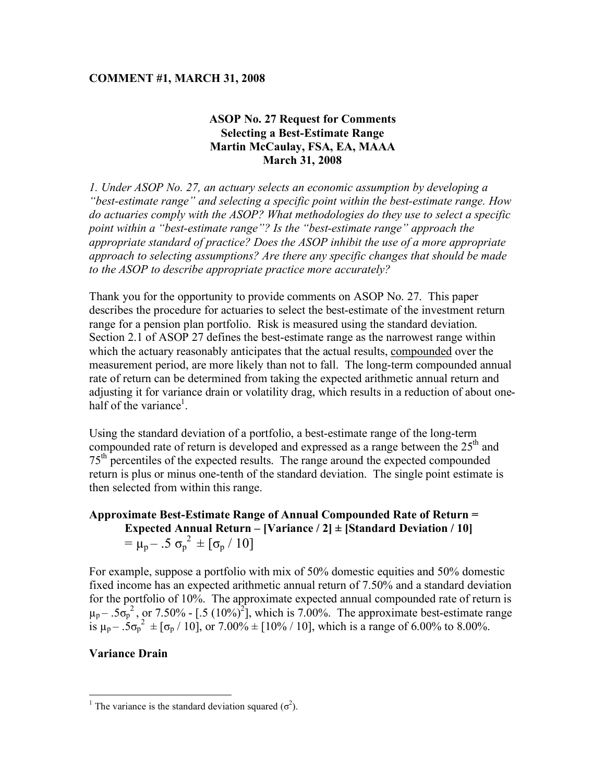#### **COMMENT #1, MARCH 31, 2008**

#### **ASOP No. 27 Request for Comments Selecting a Best-Estimate Range Martin McCaulay, FSA, EA, MAAA March 31, 2008**

*1. Under ASOP No. 27, an actuary selects an economic assumption by developing a "best-estimate range" and selecting a specific point within the best-estimate range. How do actuaries comply with the ASOP? What methodologies do they use to select a specific point within a "best-estimate range"? Is the "best-estimate range" approach the appropriate standard of practice? Does the ASOP inhibit the use of a more appropriate approach to selecting assumptions? Are there any specific changes that should be made to the ASOP to describe appropriate practice more accurately?*

Thank you for the opportunity to provide comments on ASOP No. 27. This paper describes the procedure for actuaries to select the best-estimate of the investment return range for a pension plan portfolio. Risk is measured using the standard deviation. Section 2.1 of ASOP 27 defines the best-estimate range as the narrowest range within which the actuary reasonably anticipates that the actual results, compounded over the measurement period, are more likely than not to fall. The long-term compounded annual rate of return can be determined from taking the expected arithmetic annual return and adjusting it for variance drain or volatility drag, which results in a reduction of about onehalf of the variance<sup>1</sup>.

Using the standard deviation of a portfolio, a best-estimate range of the long-term compounded rate of return is developed and expressed as a range between the  $25<sup>th</sup>$  and 75<sup>th</sup> percentiles of the expected results. The range around the expected compounded return is plus or minus one-tenth of the standard deviation. The single point estimate is then selected from within this range.

### **Approximate Best-Estimate Range of Annual Compounded Rate of Return = Expected Annual Return – [Variance / 2] ± [Standard Deviation / 10]**   $= \mu_{\rm p} - .5 \sigma_{\rm p}^2 \pm [\sigma_{\rm p} / 10]$

For example, suppose a portfolio with mix of 50% domestic equities and 50% domestic fixed income has an expected arithmetic annual return of 7.50% and a standard deviation for the portfolio of 10%. The approximate expected annual compounded rate of return is  $\mu_p - .5\sigma_p^2$ , or 7.50% - [.5 (10%)<sup>2</sup>], which is 7.00%. The approximate best-estimate range is  $\mu_p - .5\sigma_p^2 = [\sigma_p / 10]$ , or 7.00%  $\pm$  [10% / 10], which is a range of 6.00% to 8.00%.

#### **Variance Drain**

 $\frac{1}{1}$ The variance is the standard deviation squared  $(\sigma^2)$ .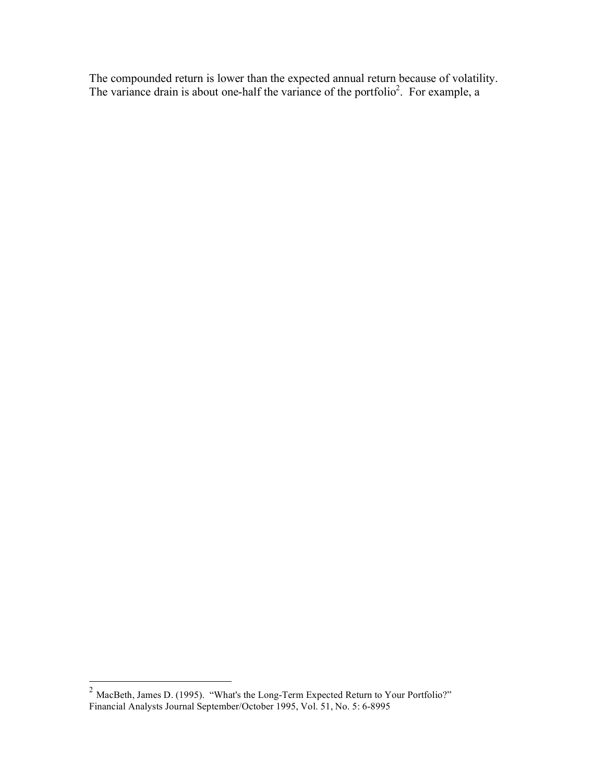The compounded return is lower than the expected annual return because of volatility. The variance drain is about one-half the variance of the portfolio<sup>2</sup>. For example, a

 $\frac{2}{100}$  MacBeth, James D. (1995). "What's the Long-Term Expected Return to Your Portfolio?" Financial Analysts Journal September/October 1995, Vol. 51, No. 5: 6-8995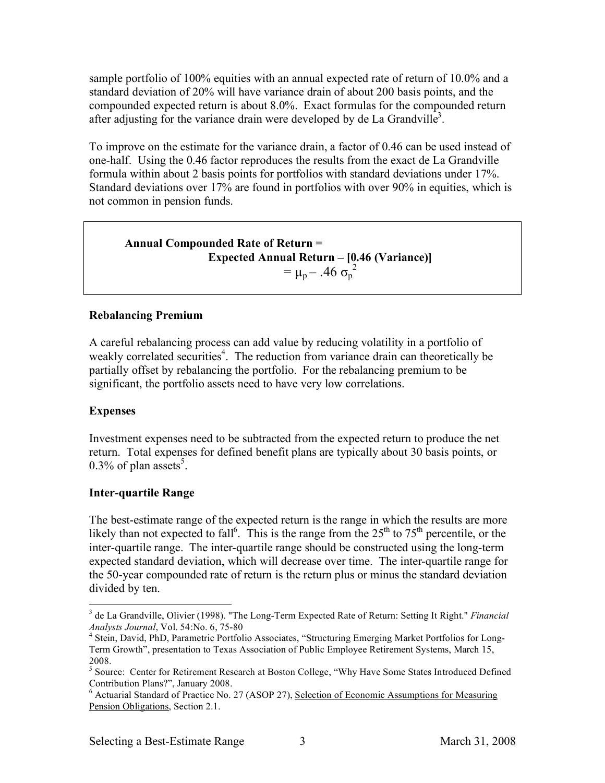sample portfolio of 100% equities with an annual expected rate of return of 10.0% and a standard deviation of 20% will have variance drain of about 200 basis points, and the compounded expected return is about 8.0%. Exact formulas for the compounded return after adjusting for the variance drain were developed by de La Grandville<sup>3</sup>.

To improve on the estimate for the variance drain, a factor of 0.46 can be used instead of one-half. Using the 0.46 factor reproduces the results from the exact de La Grandville formula within about 2 basis points for portfolios with standard deviations under 17%. Standard deviations over 17% are found in portfolios with over 90% in equities, which is not common in pension funds.

## **Annual Compounded Rate of Return = Expected Annual Return – [0.46 (Variance)]**  $= \mu_p - .46 \sigma_p^2$

#### **Rebalancing Premium**

A careful rebalancing process can add value by reducing volatility in a portfolio of weakly correlated securities<sup>4</sup>. The reduction from variance drain can theoretically be partially offset by rebalancing the portfolio. For the rebalancing premium to be significant, the portfolio assets need to have very low correlations.

#### **Expenses**

Investment expenses need to be subtracted from the expected return to produce the net return. Total expenses for defined benefit plans are typically about 30 basis points, or 0.3% of plan assets<sup>5</sup>.

#### **Inter-quartile Range**

The best-estimate range of the expected return is the range in which the results are more likely than not expected to fall<sup>6</sup>. This is the range from the  $25<sup>th</sup>$  to  $75<sup>th</sup>$  percentile, or the inter-quartile range. The inter-quartile range should be constructed using the long-term expected standard deviation, which will decrease over time. The inter-quartile range for the 50-year compounded rate of return is the return plus or minus the standard deviation divided by ten.

 $\frac{1}{3}$  de La Grandville, Olivier (1998). "The Long-Term Expected Rate of Return: Setting It Right." *Financial Analysts Journal*, Vol. 54:No. 6, 75-80 <sup>4</sup>

<sup>&</sup>lt;sup>4</sup> Stein, David, PhD, Parametric Portfolio Associates, "Structuring Emerging Market Portfolios for Long-Term Growth", presentation to Texas Association of Public Employee Retirement Systems, March 15, 2008.

<sup>&</sup>lt;sup>5</sup> Source: Center for Retirement Research at Boston College, "Why Have Some States Introduced Defined Contribution Plans?", January 2008.

<sup>&</sup>lt;sup>6</sup> Actuarial Standard of Practice No. 27 (ASOP 27), Selection of Economic Assumptions for Measuring Pension Obligations, Section 2.1.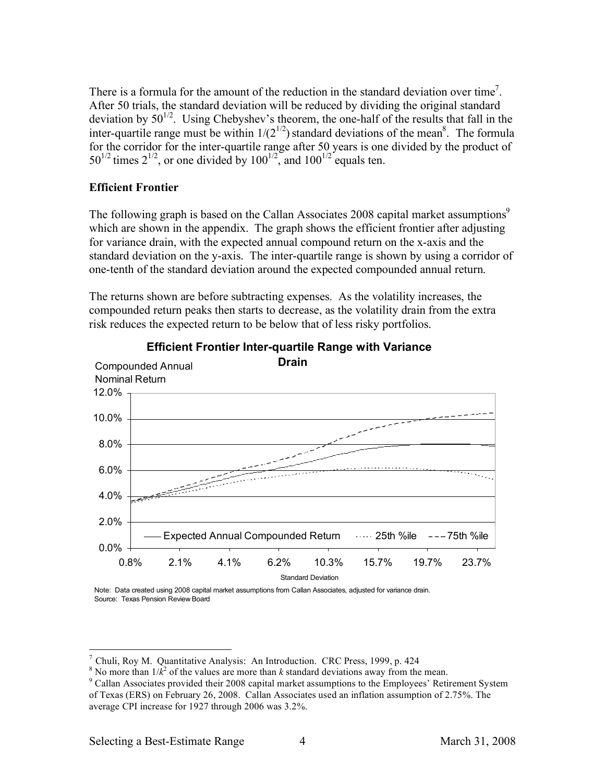There is a formula for the amount of the reduction in the standard deviation over time<sup>7</sup>. After 50 trials, the standard deviation will be reduced by dividing the original standard deviation by  $50^{1/2}$ . Using Chebyshev's theorem, the one-half of the results that fall in the inter-quartile range must be within  $1/(2^{1/2})$  standard deviations of the mean<sup>8</sup>. The formula for the corridor for the inter-quartile range after 50 years is one divided by the product of  $50^{1/2}$  times  $2^{1/2}$ , or one divided by  $100^{1/2}$ , and  $100^{1/2}$  equals ten.

#### **Efficient Frontier**

The following graph is based on the Callan Associates 2008 capital market assumptions<sup>9</sup> which are shown in the appendix. The graph shows the efficient frontier after adjusting for variance drain, with the expected annual compound return on the x-axis and the standard deviation on the y-axis. The inter-quartile range is shown by using a corridor of one-tenth of the standard deviation around the expected compounded annual return.

The returns shown are before subtracting expenses. As the volatility increases, the compounded return peaks then starts to decrease, as the volatility drain from the extra risk reduces the expected return to be below that of less risky portfolios.



#### **Efficient Frontier Inter-quartile Range with Variance**

Note: Data created using 2008 capital market assumptions from Callan Associates, adjusted for variance drain. Source: Texas Pension Review Board

 <sup>7</sup> Chuli, Roy M. Quantitative Analysis: An Introduction. CRC Press, 1999, p. 424

<sup>&</sup>lt;sup>8</sup> No more than  $1/k^2$  of the values are more than *k* standard deviations away from the mean.

<sup>&</sup>lt;sup>9</sup> Callan Associates provided their 2008 capital market assumptions to the Employees' Retirement System of Texas (ERS) on February 26, 2008. Callan Associates used an inflation assumption of 2.75%. The average CPI increase for 1927 through 2006 was 3.2%.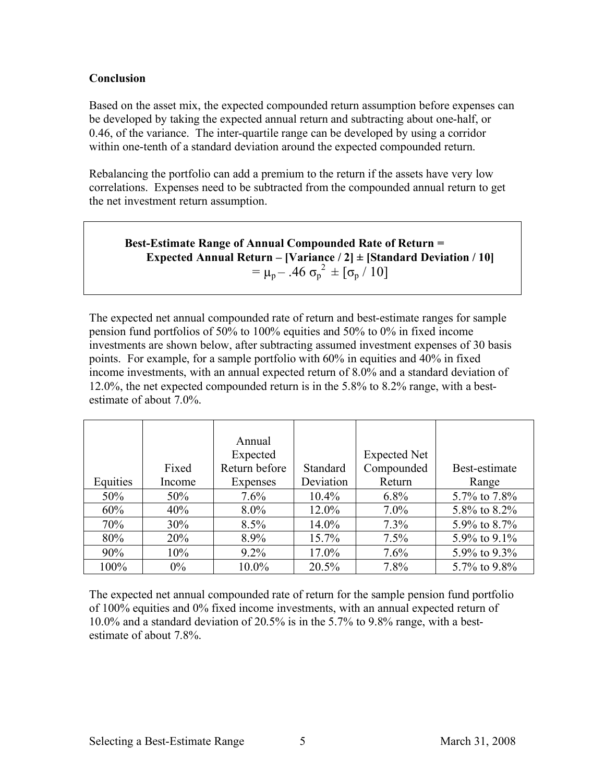#### **Conclusion**

Based on the asset mix, the expected compounded return assumption before expenses can be developed by taking the expected annual return and subtracting about one-half, or 0.46, of the variance. The inter-quartile range can be developed by using a corridor within one-tenth of a standard deviation around the expected compounded return.

Rebalancing the portfolio can add a premium to the return if the assets have very low correlations. Expenses need to be subtracted from the compounded annual return to get the net investment return assumption.

**Best-Estimate Range of Annual Compounded Rate of Return = Expected Annual Return – [Variance / 2] ± [Standard Deviation / 10]** =  $\mu_p - .46 \sigma_p^2 \pm [\sigma_p / 10]$ 

The expected net annual compounded rate of return and best-estimate ranges for sample pension fund portfolios of 50% to 100% equities and 50% to 0% in fixed income investments are shown below, after subtracting assumed investment expenses of 30 basis points. For example, for a sample portfolio with 60% in equities and 40% in fixed income investments, with an annual expected return of 8.0% and a standard deviation of 12.0%, the net expected compounded return is in the 5.8% to 8.2% range, with a bestestimate of about 7.0%.

|          |        | Annual        |           |                     |               |
|----------|--------|---------------|-----------|---------------------|---------------|
|          |        | Expected      |           | <b>Expected Net</b> |               |
|          | Fixed  | Return before | Standard  | Compounded          | Best-estimate |
| Equities | Income | Expenses      | Deviation | Return              | Range         |
| 50%      | 50%    | 7.6%          | $10.4\%$  | 6.8%                | 5.7% to 7.8%  |
| 60%      | 40%    | $8.0\%$       | 12.0%     | $7.0\%$             | 5.8% to 8.2%  |
| 70%      | $30\%$ | 8.5%          | $14.0\%$  | 7.3%                | 5.9% to 8.7%  |
| 80%      | 20%    | 8.9%          | 15.7%     | 7.5%                | 5.9% to 9.1%  |
| 90%      | 10%    | $9.2\%$       | 17.0%     | 7.6%                | 5.9% to 9.3%  |
| 100%     | $0\%$  | 10.0%         | 20.5%     | 7.8%                | 5.7% to 9.8%  |

The expected net annual compounded rate of return for the sample pension fund portfolio of 100% equities and 0% fixed income investments, with an annual expected return of 10.0% and a standard deviation of 20.5% is in the 5.7% to 9.8% range, with a bestestimate of about 7.8%.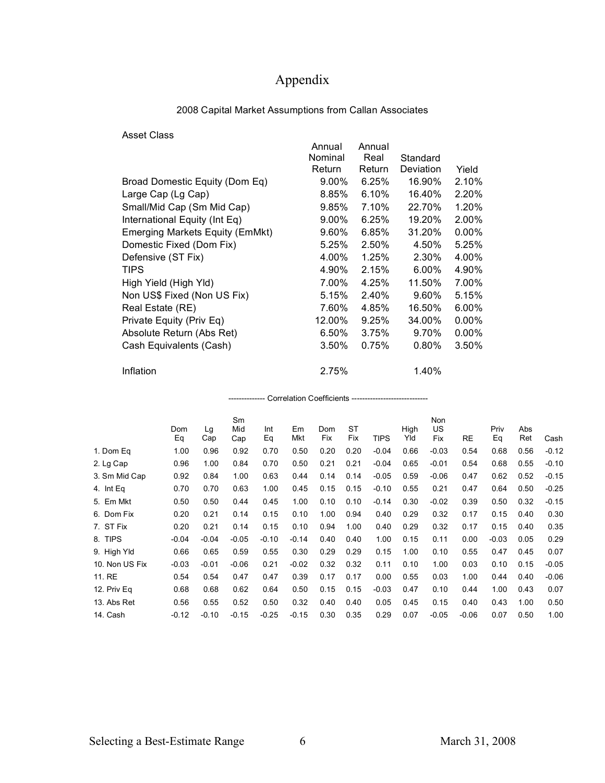# Appendix

| <b>Asset Class</b>                     |          |          |           |          |
|----------------------------------------|----------|----------|-----------|----------|
|                                        | Annual   | Annual   |           |          |
|                                        | Nominal  | Real     | Standard  |          |
|                                        | Return   | Return   | Deviation | Yield    |
| Broad Domestic Equity (Dom Eq)         | $9.00\%$ | 6.25%    | 16.90%    | 2.10%    |
| Large Cap (Lg Cap)                     | 8.85%    | $6.10\%$ | 16.40%    | 2.20%    |
| Small/Mid Cap (Sm Mid Cap)             | 9.85%    | 7.10%    | 22.70%    | 1.20%    |
| International Equity (Int Eq)          | 9.00%    | 6.25%    | 19.20%    | 2.00%    |
| <b>Emerging Markets Equity (EmMkt)</b> | 9.60%    | 6.85%    | 31.20%    | 0.00%    |
| Domestic Fixed (Dom Fix)               | 5.25%    | 2.50%    | 4.50%     | 5.25%    |
| Defensive (ST Fix)                     | 4.00%    | 1.25%    | 2.30%     | 4.00%    |
| <b>TIPS</b>                            | 4.90%    | 2.15%    | $6.00\%$  | 4.90%    |
| High Yield (High Yld)                  | 7.00%    | 4.25%    | 11.50%    | 7.00%    |
| Non US\$ Fixed (Non US Fix)            | 5.15%    | 2.40%    | $9.60\%$  | 5.15%    |
| Real Estate (RE)                       | 7.60%    | 4.85%    | 16.50%    | 6.00%    |
| Private Equity (Priv Eq)               | 12.00%   | 9.25%    | 34.00%    | 0.00%    |
| Absolute Return (Abs Ret)              | 6.50%    | 3.75%    | 9.70%     | $0.00\%$ |
| Cash Equivalents (Cash)                | $3.50\%$ | 0.75%    | $0.80\%$  | 3.50%    |
| Inflation                              | 2.75%    |          | 1.40%     |          |

#### 2008 Capital Market Assumptions from Callan Associates

| Correlation Coefficients ----------------------------- |           |           |                  |           |           |            |                  |             |             |                  |         |            |            |         |
|--------------------------------------------------------|-----------|-----------|------------------|-----------|-----------|------------|------------------|-------------|-------------|------------------|---------|------------|------------|---------|
|                                                        | Dom<br>Eq | Lg<br>Cap | Sm<br>Mid<br>Cap | Int<br>Eq | Em<br>Mkt | Dom<br>Fix | <b>ST</b><br>Fix | <b>TIPS</b> | High<br>Yld | Non<br>US<br>Fix | RE      | Priv<br>Eq | Abs<br>Ret | Cash    |
| 1. Dom Eq                                              | 1.00      | 0.96      | 0.92             | 0.70      | 0.50      | 0.20       | 0.20             | $-0.04$     | 0.66        | $-0.03$          | 0.54    | 0.68       | 0.56       | $-0.12$ |
| 2. Lg Cap                                              | 0.96      | 1.00      | 0.84             | 0.70      | 0.50      | 0.21       | 0.21             | $-0.04$     | 0.65        | $-0.01$          | 0.54    | 0.68       | 0.55       | $-0.10$ |
| 3. Sm Mid Cap                                          | 0.92      | 0.84      | 1.00             | 0.63      | 0.44      | 0.14       | 0.14             | $-0.05$     | 0.59        | $-0.06$          | 0.47    | 0.62       | 0.52       | $-0.15$ |
| 4. Int Eq                                              | 0.70      | 0.70      | 0.63             | 1.00      | 0.45      | 0.15       | 0.15             | $-0.10$     | 0.55        | 0.21             | 0.47    | 0.64       | 0.50       | $-0.25$ |
| 5. Em Mkt                                              | 0.50      | 0.50      | 0.44             | 0.45      | 1.00      | 0.10       | 0.10             | $-0.14$     | 0.30        | $-0.02$          | 0.39    | 0.50       | 0.32       | $-0.15$ |
| 6. Dom Fix                                             | 0.20      | 0.21      | 0.14             | 0.15      | 0.10      | 1.00       | 0.94             | 0.40        | 0.29        | 0.32             | 0.17    | 0.15       | 0.40       | 0.30    |
| 7. ST Fix                                              | 0.20      | 0.21      | 0.14             | 0.15      | 0.10      | 0.94       | 1.00             | 0.40        | 0.29        | 0.32             | 0.17    | 0.15       | 0.40       | 0.35    |
| 8. TIPS                                                | $-0.04$   | $-0.04$   | $-0.05$          | $-0.10$   | $-0.14$   | 0.40       | 0.40             | 1.00        | 0.15        | 0.11             | 0.00    | $-0.03$    | 0.05       | 0.29    |
| 9. High Yld                                            | 0.66      | 0.65      | 0.59             | 0.55      | 0.30      | 0.29       | 0.29             | 0.15        | 1.00        | 0.10             | 0.55    | 0.47       | 0.45       | 0.07    |
| 10. Non US Fix                                         | $-0.03$   | $-0.01$   | $-0.06$          | 0.21      | $-0.02$   | 0.32       | 0.32             | 0.11        | 0.10        | 1.00             | 0.03    | 0.10       | 0.15       | $-0.05$ |
| 11. RE                                                 | 0.54      | 0.54      | 0.47             | 0.47      | 0.39      | 0.17       | 0.17             | 0.00        | 0.55        | 0.03             | 1.00    | 0.44       | 0.40       | $-0.06$ |
| 12. Priv Eq                                            | 0.68      | 0.68      | 0.62             | 0.64      | 0.50      | 0.15       | 0.15             | $-0.03$     | 0.47        | 0.10             | 0.44    | 1.00       | 0.43       | 0.07    |
| 13. Abs Ret                                            | 0.56      | 0.55      | 0.52             | 0.50      | 0.32      | 0.40       | 0.40             | 0.05        | 0.45        | 0.15             | 0.40    | 0.43       | 1.00       | 0.50    |
| 14. Cash                                               | $-0.12$   | $-0.10$   | $-0.15$          | $-0.25$   | $-0.15$   | 0.30       | 0.35             | 0.29        | 0.07        | $-0.05$          | $-0.06$ | 0.07       | 0.50       | 1.00    |